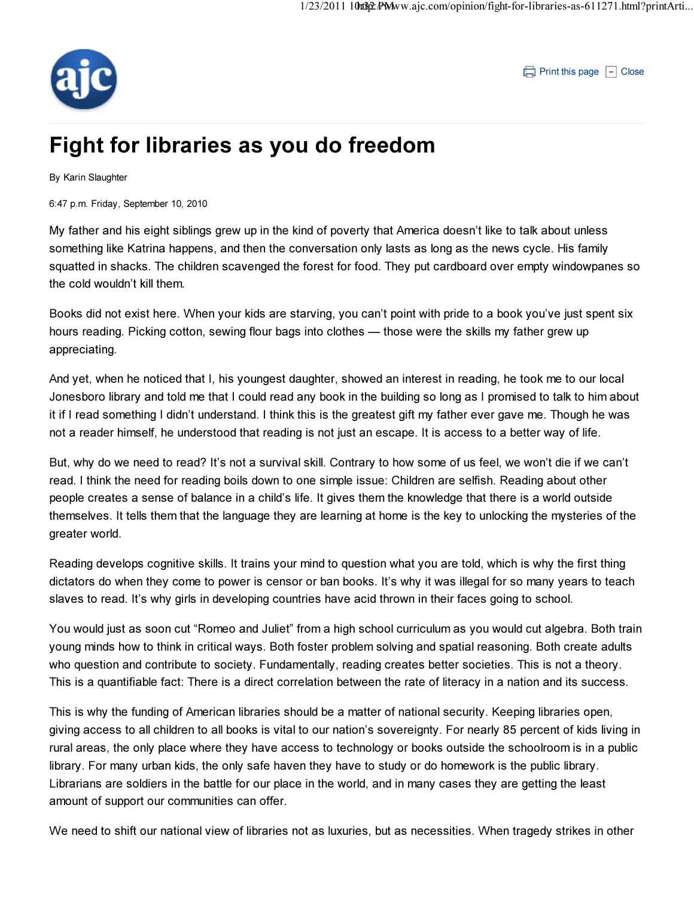

 $\Box$  Print this page  $\Box$  Close

## Fight for libraries as you do freedom

By Karin Slaughter

6:47 p.m. Friday, September 10, 2010

My father and his eight siblings grew up in the kind of poverty that America doesn't like to talk about unless something like Katrina happens, and then the conversation only lasts as long as the news cycle. His family squatted in shacks. The children scavenged the forest for food. They put cardboard over empty windowpanes so the cold wouldn't kill them.

Books did not exist here. When your kids are starving, you can't point with pride to a book you've just spent six hours reading. Picking cotton, sewing flour bags into clothes — those were the skills my father grew up appreciating.

And yet, when he noticed that I, his youngest daughter, showed an interest in reading, he took me to our local Jonesboro library and told me that I could read any book in the building so long as I promised to talk to him about it if I read something I didn't understand. I think this is the greatest gift my father ever gave me. Though he was not a reader himself, he understood that reading is not just an escape. It is access to a better way of life.

But, why do we need to read? It's not a survival skill. Contrary to how some of us feel, we won't die if we can't read. I think the need for reading boils down to one simple issue: Children are selfish. Reading about other people creates a sense of balance in a child's life. It gives them the knowledge that there is a world outside themselves. It tells them that the language they are learning at home is the key to unlocking the mysteries of the greater world.

Reading develops cognitive skills. It trains your mind to question what you are told, which is why the first thing dictators do when they come to power is censor or ban books. It's why it was illegal for so many years to teach slaves to read. It's why girls in developing countries have acid thrown in their faces going to school.

You would just as soon cut "Romeo and Juliet" from a high school curriculum as you would cut algebra. Both train young minds how to think in critical ways. Both foster problem solving and spatial reasoning. Both create adults who question and contribute to society. Fundamentally, reading creates better societies. This is not a theory. This is a quantifiable fact: There is a direct correlation between the rate of literacy in a nation and its success.

This is why the funding of American libraries should be a matter of national security. Keeping libraries open, giving access to all children to all books is vital to our nation's sovereignty. For nearly 85 percent of kids living in rural areas, the only place where they have access to technology or books outside the schoolroom is in a public library. For many urban kids, the only safe haven they have to study or do homework is the public library. Librarians are soldiers in the battle for our place in the world, and in many cases they are getting the least amount of support our communities can offer.

We need to shift our national view of libraries not as luxuries, but as necessities. When tragedy strikes in other